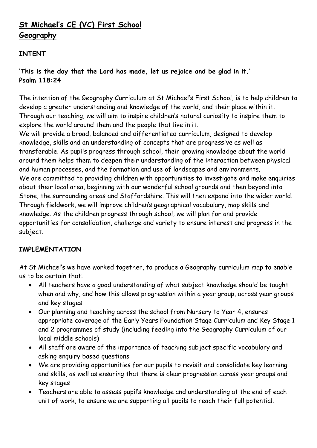## **St Michael's CE (VC) First School Geography**

## **INTENT**

**'This is the day that the Lord has made, let us rejoice and be glad in it.' Psalm 118:24**

The intention of the Geography Curriculum at St Michael's First School, is to help children to develop a greater understanding and knowledge of the world, and their place within it. Through our teaching, we will aim to inspire children's natural curiosity to inspire them to explore the world around them and the people that live in it.

We will provide a broad, balanced and differentiated curriculum, designed to develop knowledge, skills and an understanding of concepts that are progressive as well as transferable. As pupils progress through school, their growing knowledge about the world around them helps them to deepen their understanding of the interaction between physical and human processes, and the formation and use of landscapes and environments. We are committed to providing children with opportunities to investigate and make enquiries about their local area, beginning with our wonderful school grounds and then beyond into Stone, the surrounding areas and Staffordshire. This will then expand into the wider world. Through fieldwork, we will improve children's geographical vocabulary, map skills and knowledge. As the children progress through school, we will plan for and provide opportunities for consolidation, challenge and variety to ensure interest and progress in the subject.

## **IMPLEMENTATION**

At St Michael's we have worked together, to produce a Geography curriculum map to enable us to be certain that:

- All teachers have a good understanding of what subject knowledge should be taught when and why, and how this allows progression within a year group, across year groups and key stages
- Our planning and teaching across the school from Nursery to Year 4, ensures appropriate coverage of the Early Years Foundation Stage Curriculum and Key Stage 1 and 2 programmes of study (including feeding into the Geography Curriculum of our local middle schools)
- All staff are aware of the importance of teaching subject specific vocabulary and asking enquiry based questions
- We are providing opportunities for our pupils to revisit and consolidate key learning and skills, as well as ensuring that there is clear progression across year groups and key stages
- Teachers are able to assess pupil's knowledge and understanding at the end of each unit of work, to ensure we are supporting all pupils to reach their full potential.